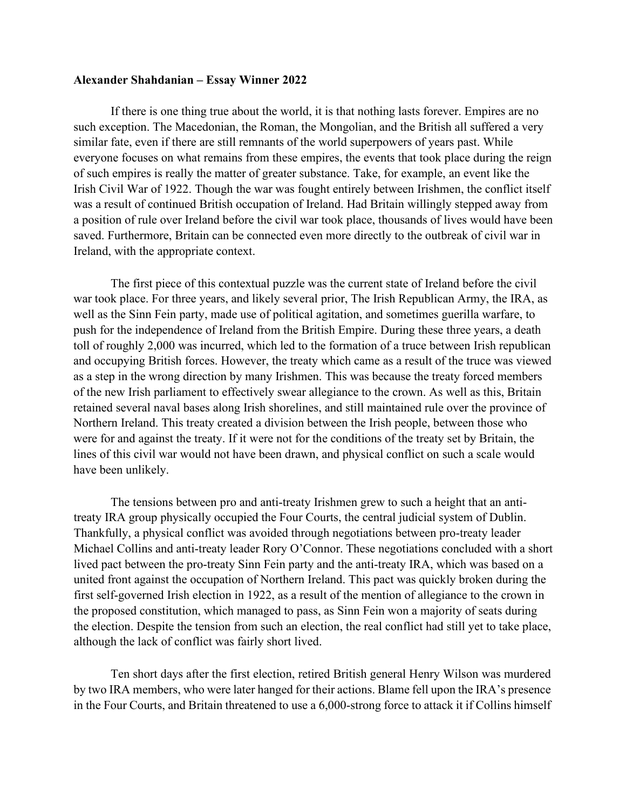## **Alexander Shahdanian – Essay Winner 2022**

If there is one thing true about the world, it is that nothing lasts forever. Empires are no such exception. The Macedonian, the Roman, the Mongolian, and the British all suffered a very similar fate, even if there are still remnants of the world superpowers of years past. While everyone focuses on what remains from these empires, the events that took place during the reign of such empires is really the matter of greater substance. Take, for example, an event like the Irish Civil War of 1922. Though the war was fought entirely between Irishmen, the conflict itself was a result of continued British occupation of Ireland. Had Britain willingly stepped away from a position of rule over Ireland before the civil war took place, thousands of lives would have been saved. Furthermore, Britain can be connected even more directly to the outbreak of civil war in Ireland, with the appropriate context.

The first piece of this contextual puzzle was the current state of Ireland before the civil war took place. For three years, and likely several prior, The Irish Republican Army, the IRA, as well as the Sinn Fein party, made use of political agitation, and sometimes guerilla warfare, to push for the independence of Ireland from the British Empire. During these three years, a death toll of roughly 2,000 was incurred, which led to the formation of a truce between Irish republican and occupying British forces. However, the treaty which came as a result of the truce was viewed as a step in the wrong direction by many Irishmen. This was because the treaty forced members of the new Irish parliament to effectively swear allegiance to the crown. As well as this, Britain retained several naval bases along Irish shorelines, and still maintained rule over the province of Northern Ireland. This treaty created a division between the Irish people, between those who were for and against the treaty. If it were not for the conditions of the treaty set by Britain, the lines of this civil war would not have been drawn, and physical conflict on such a scale would have been unlikely.

The tensions between pro and anti-treaty Irishmen grew to such a height that an antitreaty IRA group physically occupied the Four Courts, the central judicial system of Dublin. Thankfully, a physical conflict was avoided through negotiations between pro-treaty leader Michael Collins and anti-treaty leader Rory O'Connor. These negotiations concluded with a short lived pact between the pro-treaty Sinn Fein party and the anti-treaty IRA, which was based on a united front against the occupation of Northern Ireland. This pact was quickly broken during the first self-governed Irish election in 1922, as a result of the mention of allegiance to the crown in the proposed constitution, which managed to pass, as Sinn Fein won a majority of seats during the election. Despite the tension from such an election, the real conflict had still yet to take place, although the lack of conflict was fairly short lived.

Ten short days after the first election, retired British general Henry Wilson was murdered by two IRA members, who were later hanged for their actions. Blame fell upon the IRA's presence in the Four Courts, and Britain threatened to use a 6,000-strong force to attack it if Collins himself